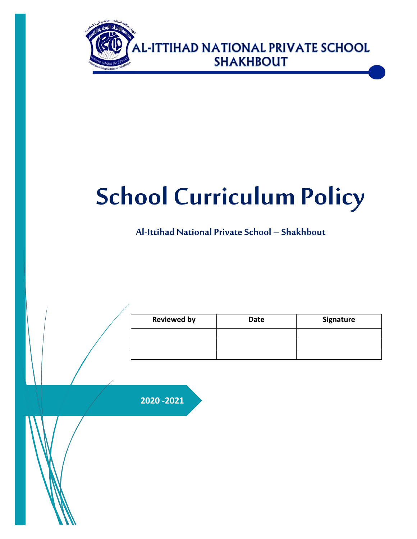

# **School Curriculum Policy**

**Al-Ittihad National PrivateSchool – Shakhbout**

| <b>Reviewed by</b> | <b>Date</b> | Signature |  |  |
|--------------------|-------------|-----------|--|--|
|                    |             |           |  |  |
|                    |             |           |  |  |
|                    |             |           |  |  |

**2020 -2021**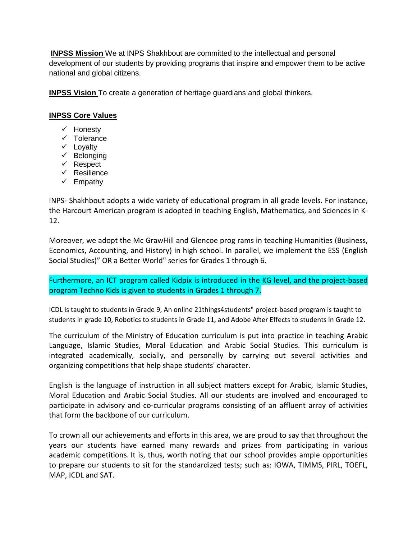**INPSS Mission** We at INPS Shakhbout are committed to the intellectual and personal development of our students by providing programs that inspire and empower them to be active national and global citizens.

**INPSS Vision** To create a generation of heritage guardians and global thinkers.

# **INPSS Core Values**

- $\checkmark$  Honesty
- $\checkmark$  Tolerance
- $\checkmark$  Loyalty
- $\checkmark$  Belonging
- $\checkmark$  Respect
- $\checkmark$  Resilience
- $\checkmark$  Empathy

INPS- Shakhbout adopts a wide variety of educational program in all grade levels. For instance, the Harcourt American program is adopted in teaching English, Mathematics, and Sciences in K-12.

Moreover, we adopt the Mc GrawHill and Glencoe prog rams in teaching Humanities (Business, Economics, Accounting, and History) in high school. In parallel, we implement the ESS (English Social Studies)" OR a Better World" series for Grades 1 through 6.

Furthermore, an ICT program called Kidpix is introduced in the KG level, and the project-based program Techno Kids is given to students in Grades 1 through 7.

ICDL is taught to students in Grade 9, An online 21things4students" project-based program is taught to students in grade 10, Robotics to students in Grade 11, and Adobe After Effects to students in Grade 12.

The curriculum of the Ministry of Education curriculum is put into practice in teaching Arabic Language, Islamic Studies, Moral Education and Arabic Social Studies. This curriculum is integrated academically, socially, and personally by carrying out several activities and organizing competitions that help shape students' character.

English is the language of instruction in all subject matters except for Arabic, Islamic Studies, Moral Education and Arabic Social Studies. All our students are involved and encouraged to participate in advisory and co-curricular programs consisting of an affluent array of activities that form the backbone of our curriculum.

To crown all our achievements and efforts in this area, we are proud to say that throughout the years our students have earned many rewards and prizes from participating in various academic competitions. It is, thus, worth noting that our school provides ample opportunities to prepare our students to sit for the standardized tests; such as: IOWA, TIMMS, PIRL, TOEFL, MAP, ICDL and SAT.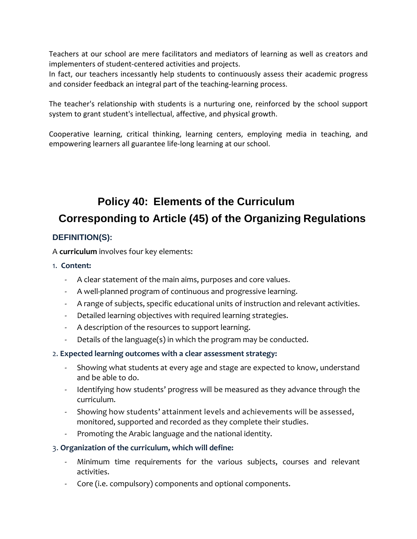Teachers at our school are mere facilitators and mediators of learning as well as creators and implementers of student-centered activities and projects.

In fact, our teachers incessantly help students to continuously assess their academic progress and consider feedback an integral part of the teaching-learning process.

The teacher's relationship with students is a nurturing one, reinforced by the school support system to grant student's intellectual, affective, and physical growth.

Cooperative learning, critical thinking, learning centers, employing media in teaching, and empowering learners all guarantee life-long learning at our school.

# **Policy 40: Elements of the Curriculum Corresponding to Article (45) of the Organizing Regulations**

# **DEFINITION(S):**

A **curriculum** involves four key elements:

- 1. **Content:**
	- A clear statement of the main aims, purposes and core values.
	- A well-planned program of continuous and progressive learning.
	- A range of subjects, specific educational units of instruction and relevant activities.
	- Detailed learning objectives with required learning strategies.
	- A description of the resources to support learning.
	- Details of the language(s) in which the program may be conducted.

### 2. **Expected learning outcomes with a clear assessment strategy:**

- Showing what students at every age and stage are expected to know, understand and be able to do.
- Identifying how students' progress will be measured as they advance through the curriculum.
- Showing how students' attainment levels and achievements will be assessed, monitored, supported and recorded as they complete their studies.
- Promoting the Arabic language and the national identity.

### 3. **Organization of the curriculum, which will define:**

- Minimum time requirements for the various subjects, courses and relevant activities.
- Core (i.e. compulsory) components and optional components.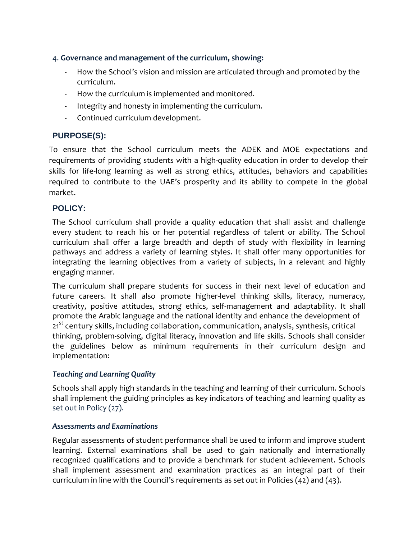# 4. **Governance and management of the curriculum, showing:**

- How the School's vision and mission are articulated through and promoted by the curriculum.
- How the curriculum is implemented and monitored.
- Integrity and honesty in implementing the curriculum.
- Continued curriculum development.

# **PURPOSE(S):**

To ensure that the School curriculum meets the ADEK and MOE expectations and requirements of providing students with a high-quality education in order to develop their skills for life-long learning as well as strong ethics, attitudes, behaviors and capabilities required to contribute to the UAE's prosperity and its ability to compete in the global market.

# **POLICY:**

The School curriculum shall provide a quality education that shall assist and challenge every student to reach his or her potential regardless of talent or ability. The School curriculum shall offer a large breadth and depth of study with flexibility in learning pathways and address a variety of learning styles. It shall offer many opportunities for integrating the learning objectives from a variety of subjects, in a relevant and highly engaging manner.

The curriculum shall prepare students for success in their next level of education and future careers. It shall also promote higher-level thinking skills, literacy, numeracy, creativity, positive attitudes, strong ethics, self-management and adaptability. It shall promote the Arabic language and the national identity and enhance the development of 21<sup>st</sup> century skills, including collaboration, communication, analysis, synthesis, critical thinking, problem-solving, digital literacy, innovation and life skills. Schools shall consider the guidelines below as minimum requirements in their curriculum design and implementation:

# *Teaching and Learning Quality*

Schools shall apply high standards in the teaching and learning of their curriculum. Schools shall implement the guiding principles as key indicators of teaching and learning quality as set out in Policy (27).

# *Assessments and Examinations*

Regular assessments of student performance shall be used to inform and improve student learning. External examinations shall be used to gain nationally and internationally recognized qualifications and to provide a benchmark for student achievement. Schools shall implement assessment and examination practices as an integral part of their curriculum in line with the Council's requirements as set out in Policies  $(42)$  and  $(43)$ .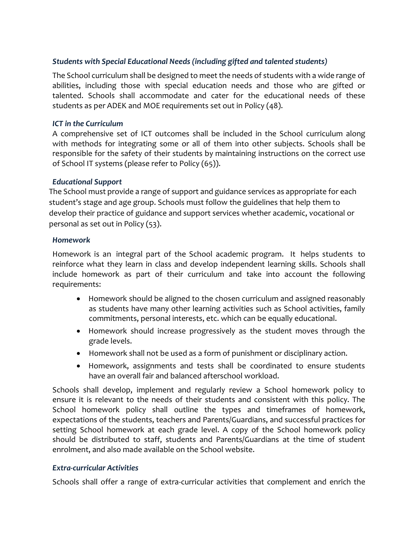# *Students with Special Educational Needs (including gifted and talented students)*

The School curriculum shall be designed to meet the needs of students with a wide range of abilities, including those with special education needs and those who are gifted or talented. Schools shall accommodate and cater for the educational needs of these students as per ADEK and MOE requirements set out in Policy (48).

#### *ICT in the Curriculum*

A comprehensive set of ICT outcomes shall be included in the School curriculum along with methods for integrating some or all of them into other subjects. Schools shall be responsible for the safety of their students by maintaining instructions on the correct use of School IT systems (please refer to Policy (65)).

#### *Educational Support*

The School must provide a range of support and guidance services as appropriate for each student's stage and age group. Schools must follow the guidelines that help them to develop their practice of guidance and support services whether academic, vocational or personal as set out in Policy (53).

#### *Homework*

Homework is an integral part of the School academic program. It helps students to reinforce what they learn in class and develop independent learning skills. Schools shall include homework as part of their curriculum and take into account the following requirements:

- Homework should be aligned to the chosen curriculum and assigned reasonably as students have many other learning activities such as School activities, family commitments, personal interests, etc. which can be equally educational.
- Homework should increase progressively as the student moves through the grade levels.
- Homework shall not be used as a form of punishment or disciplinary action.
- Homework, assignments and tests shall be coordinated to ensure students have an overall fair and balanced afterschool workload.

Schools shall develop, implement and regularly review a School homework policy to ensure it is relevant to the needs of their students and consistent with this policy. The School homework policy shall outline the types and timeframes of homework, expectations of the students, teachers and Parents/Guardians, and successful practices for setting School homework at each grade level. A copy of the School homework policy should be distributed to staff, students and Parents/Guardians at the time of student enrolment, and also made available on the School website.

### *Extra-curricular Activities*

Schools shall offer a range of extra-curricular activities that complement and enrich the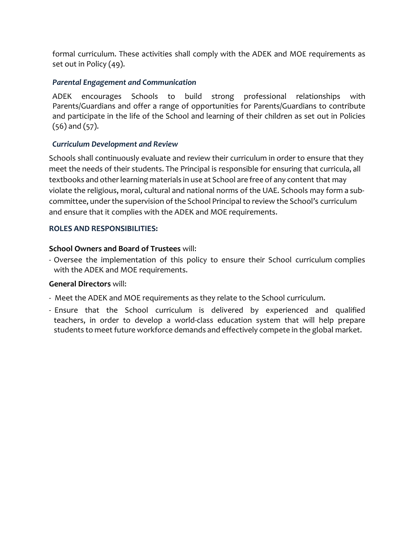formal curriculum. These activities shall comply with the ADEK and MOE requirements as set out in Policy (49).

# *Parental Engagement and Communication*

ADEK encourages Schools to build strong professional relationships with Parents/Guardians and offer a range of opportunities for Parents/Guardians to contribute and participate in the life of the School and learning of their children as set out in Policies (56) and (57).

# *Curriculum Development and Review*

Schools shall continuously evaluate and review their curriculum in order to ensure that they meet the needs of their students. The Principal is responsible for ensuring that curricula, all textbooks and otherlearning materials in use at School are free of any content that may violate the religious, moral, cultural and national norms of the UAE. Schools may form a subcommittee, under the supervision of the School Principal to review the School's curriculum and ensure that it complies with the ADEK and MOE requirements.

### **ROLES AND RESPONSIBILITIES:**

# **School Owners and Board of Trustees** will:

- Oversee the implementation of this policy to ensure their School curriculum complies with the ADEK and MOE requirements.

### **General Directors** will:

- Meet the ADEK and MOE requirements as they relate to the School curriculum.
- Ensure that the School curriculum is delivered by experienced and qualified teachers, in order to develop a world-class education system that will help prepare students to meet future workforce demands and effectively compete in the global market.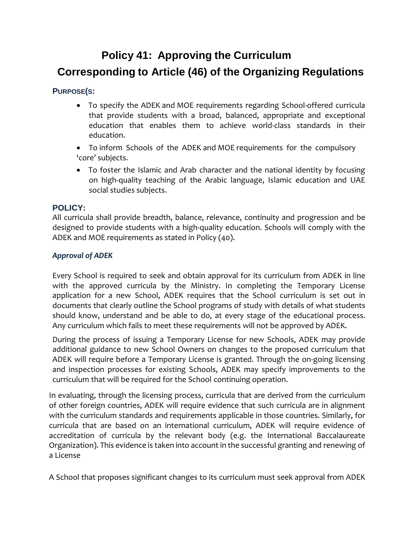# **Policy 41: Approving the Curriculum Corresponding to Article (46) of the Organizing Regulations**

# **PURPOSE(S:**

- To specify the ADEK and MOE requirements regarding School-offered curricula that provide students with a broad, balanced, appropriate and exceptional education that enables them to achieve world-class standards in their education.
- To inform Schools of the ADEK and MOE requirements for the compulsory 'core' subjects.
- To foster the Islamic and Arab character and the national identity by focusing on high-quality teaching of the Arabic language, Islamic education and UAE social studies subjects.

### **POLICY:**

All curricula shall provide breadth, balance, relevance, continuity and progression and be designed to provide students with a high-quality education. Schools will comply with the ADEK and MOE requirements as stated in Policy (40).

# *Approval of ADEK*

Every School is required to seek and obtain approval for its curriculum from ADEK in line with the approved curricula by the Ministry. In completing the Temporary License application for a new School, ADEK requires that the School curriculum is set out in documents that clearly outline the School programs of study with details of what students should know, understand and be able to do, at every stage of the educational process. Any curriculum which fails to meet these requirements will not be approved by ADEK.

During the process of issuing a Temporary License for new Schools, ADEK may provide additional guidance to new School Owners on changes to the proposed curriculum that ADEK will require before a Temporary License is granted. Through the on-going licensing and inspection processes for existing Schools, ADEK may specify improvements to the curriculum that will be required for the School continuing operation.

In evaluating, through the licensing process, curricula that are derived from the curriculum of other foreign countries, ADEK will require evidence that such curricula are in alignment with the curriculum standards and requirements applicable in those countries. Similarly, for curricula that are based on an international curriculum, ADEK will require evidence of accreditation of curricula by the relevant body (e.g. the International Baccalaureate Organization). This evidence is taken into account in the successful granting and renewing of a License

A School that proposes significant changes to its curriculum must seek approval from ADEK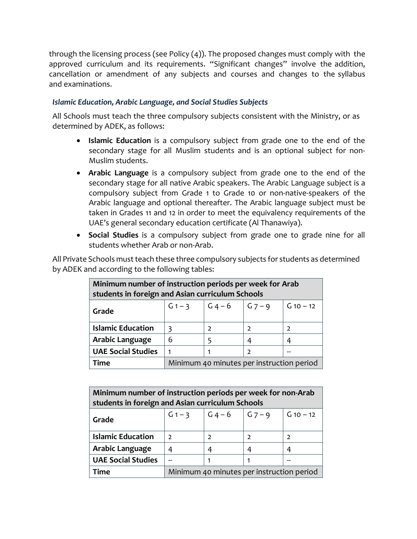through the licensing process (see Policy (4)). The proposed changes must comply with the approved curriculum and its requirements. "Significant changes" involve the addition, cancellation or amendment of any subjects and courses and changes to the syllabus and examinations.

# *Islamic Education, Arabic Language, and Social Studies Subjects*

All Schools must teach the three compulsory subjects consistent with the Ministry, or as determined by ADEK, as follows:

- **Islamic Education** is a compulsory subject from grade one to the end of the secondary stage for all Muslim students and is an optional subject for non-Muslim students.
- **Arabic Language** is a compulsory subject from grade one to the end of the secondary stage for all native Arabic speakers. The Arabic Language subject is a compulsory subject from Grade 1 to Grade 10 or non-native-speakers of the Arabic language and optional thereafter. The Arabic language subject must be taken in Grades 11 and 12 in order to meet the equivalency requirements of the UAE's general secondary education certificate (Al Thanawiya).
- **Social Studies** is a compulsory subject from grade one to grade nine for all students whether Arab or non-Arab.

All Private Schools must teach these three compulsory subjects for students as determined by ADEK and according to the following tables:

| Minimum number of instruction periods per week for Arab<br>students in foreign and Asian curriculum Schools |                                           |               |            |             |  |  |
|-------------------------------------------------------------------------------------------------------------|-------------------------------------------|---------------|------------|-------------|--|--|
| Grade                                                                                                       | $G1 - 3$ $G4 - 6$                         |               | $ G7 - 9 $ | $G_10 - 12$ |  |  |
| <b>Islamic Education</b>                                                                                    |                                           | $\mathcal{D}$ |            |             |  |  |
| Arabic Language                                                                                             | 6                                         |               |            | 4           |  |  |
| <b>UAE Social Studies</b>                                                                                   |                                           |               | っ          |             |  |  |
| Time                                                                                                        | Minimum 40 minutes per instruction period |               |            |             |  |  |

| Minimum number of instruction periods per week for non-Arab<br>students in foreign and Asian curriculum Schools |                                           |   |            |               |  |  |
|-----------------------------------------------------------------------------------------------------------------|-------------------------------------------|---|------------|---------------|--|--|
| Grade                                                                                                           | $G1 - 3$ $G4 - 6$                         |   | $ G7 - 9 $ | $G$ 10 $-$ 12 |  |  |
| <b>Islamic Education</b>                                                                                        |                                           |   |            |               |  |  |
| Arabic Language                                                                                                 |                                           | 4 |            |               |  |  |
| <b>UAE Social Studies</b>                                                                                       |                                           |   |            |               |  |  |
| Time                                                                                                            | Minimum 40 minutes per instruction period |   |            |               |  |  |